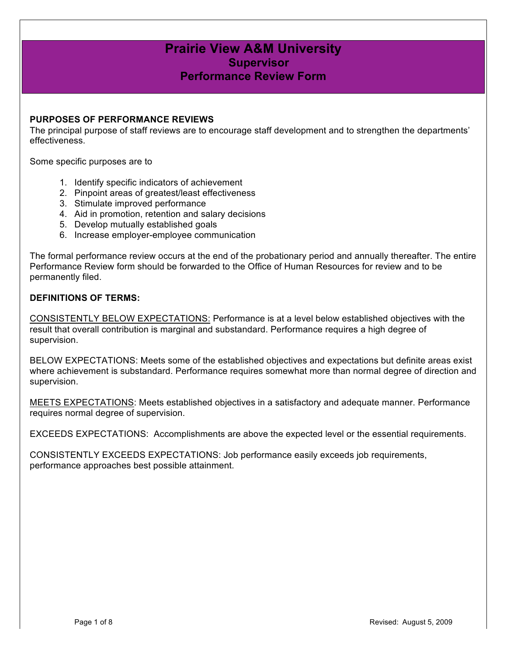### **Prairie View A&M University Supervisor Performance Review Form**

#### **PURPOSES OF PERFORMANCE REVIEWS**

The principal purpose of staff reviews are to encourage staff development and to strengthen the departments' effectiveness.

Some specific purposes are to

- 1. Identify specific indicators of achievement
- 2. Pinpoint areas of greatest/least effectiveness
- 3. Stimulate improved performance
- 4. Aid in promotion, retention and salary decisions
- 5. Develop mutually established goals
- 6. Increase employer-employee communication

The formal performance review occurs at the end of the probationary period and annually thereafter. The entire Performance Review form should be forwarded to the Office of Human Resources for review and to be permanently filed.

#### **DEFINITIONS OF TERMS:**

CONSISTENTLY BELOW EXPECTATIONS: Performance is at a level below established objectives with the result that overall contribution is marginal and substandard. Performance requires a high degree of supervision.

BELOW EXPECTATIONS: Meets some of the established objectives and expectations but definite areas exist where achievement is substandard. Performance requires somewhat more than normal degree of direction and supervision.

MEETS EXPECTATIONS: Meets established objectives in a satisfactory and adequate manner. Performance requires normal degree of supervision.

EXCEEDS EXPECTATIONS: Accomplishments are above the expected level or the essential requirements.

CONSISTENTLY EXCEEDS EXPECTATIONS: Job performance easily exceeds job requirements, performance approaches best possible attainment.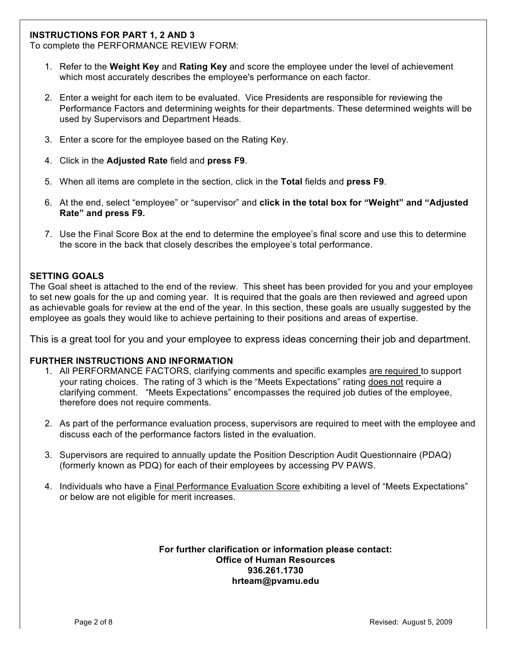#### **INSTRUCTIONS FOR PART 1, 2 AND 3**

To complete the PERFORMANCE REVIEW FORM:

- 1. Refer to the **Weight Key** and **Rating Key** and score the employee under the level of achievement which most accurately describes the employee's performance on each factor.
- 2. Enter a weight for each item to be evaluated. Vice Presidents are responsible for reviewing the Performance Factors and determining weights for their departments. These determined weights will be used by Supervisors and Department Heads.
- 3. Enter a score for the employee based on the Rating Key.
- 4. Click in the **Adjusted Rate** field and **press F9**.
- 5. When all items are complete in the section, click in the **Total** fields and **press F9**.
- 6. At the end, select "employee" or "supervisor" and **click in the total box for "Weight" and "Adjusted Rate" and press F9.**
- 7. Use the Final Score Box at the end to determine the employee's final score and use this to determine the score in the back that closely describes the employee's total performance.

#### **SETTING GOALS**

The Goal sheet is attached to the end of the review. This sheet has been provided for you and your employee to set new goals for the up and coming year. It is required that the goals are then reviewed and agreed upon as achievable goals for review at the end of the year. In this section, these goals are usually suggested by the employee as goals they would like to achieve pertaining to their positions and areas of expertise.

This is a great tool for you and your employee to express ideas concerning their job and department.

#### **FURTHER INSTRUCTIONS AND INFORMATION**

- 1. All PERFORMANCE FACTORS, clarifying comments and specific examples are required to support your rating choices. The rating of 3 which is the "Meets Expectations" rating does not require a clarifying comment. "Meets Expectations" encompasses the required job duties of the employee, therefore does not require comments.
- 2. As part of the performance evaluation process, supervisors are required to meet with the employee and discuss each of the performance factors listed in the evaluation.
- 3. Supervisors are required to annually update the Position Description Audit Questionnaire (PDAQ) (formerly known as PDQ) for each of their employees by accessing PV PAWS.
- 4. Individuals who have a Final Performance Evaluation Score exhibiting a level of "Meets Expectations" or below are not eligible for merit increases.

#### **For further clarification or information please contact: Office of Human Resources 936.261.1730 hrteam@pvamu.edu**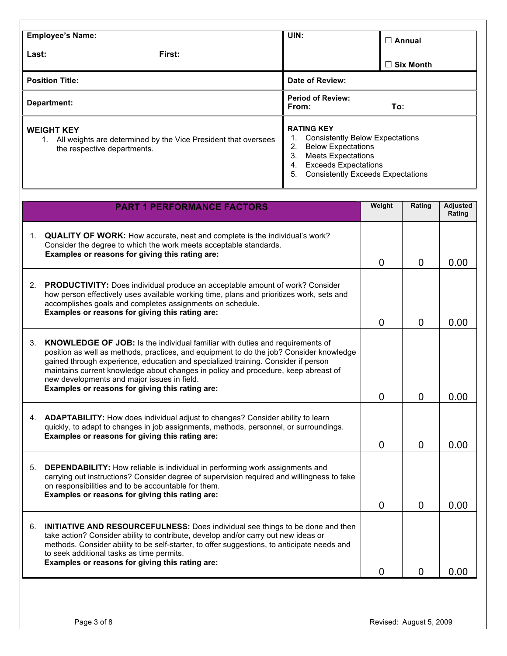| <b>Employee's Name:</b>                                                                                                  | UIN:                                                                                                                                                                                                                     | $\Box$ Annual    |  |
|--------------------------------------------------------------------------------------------------------------------------|--------------------------------------------------------------------------------------------------------------------------------------------------------------------------------------------------------------------------|------------------|--|
| First:<br>Last:                                                                                                          |                                                                                                                                                                                                                          | $\Box$ Six Month |  |
| <b>Position Title:</b><br>Date of Review:                                                                                |                                                                                                                                                                                                                          |                  |  |
| Department:                                                                                                              | <b>Period of Review:</b><br>From:                                                                                                                                                                                        | To:              |  |
| <b>WEIGHT KEY</b><br>All weights are determined by the Vice President that oversees<br>1.<br>the respective departments. | <b>RATING KEY</b><br><b>Consistently Below Expectations</b><br><b>Below Expectations</b><br>2.<br>3.<br><b>Meets Expectations</b><br><b>Exceeds Expectations</b><br>4.<br>5.<br><b>Consistently Exceeds Expectations</b> |                  |  |

|    | <b>PART 1 PERFORMANCE FACTORS</b>                                                                                                                                                                                                                                                                                                                                                                                                                           | Weight   | Rating         | <b>Adjusted</b><br>Rating |
|----|-------------------------------------------------------------------------------------------------------------------------------------------------------------------------------------------------------------------------------------------------------------------------------------------------------------------------------------------------------------------------------------------------------------------------------------------------------------|----------|----------------|---------------------------|
| 1. | <b>QUALITY OF WORK:</b> How accurate, neat and complete is the individual's work?<br>Consider the degree to which the work meets acceptable standards.<br>Examples or reasons for giving this rating are:                                                                                                                                                                                                                                                   | $\Omega$ | $\mathbf{0}$   | 0.00                      |
|    | 2. PRODUCTIVITY: Does individual produce an acceptable amount of work? Consider<br>how person effectively uses available working time, plans and prioritizes work, sets and<br>accomplishes goals and completes assignments on schedule.<br>Examples or reasons for giving this rating are:                                                                                                                                                                 | 0        | $\mathbf{0}$   | 0.00                      |
| 3. | <b>KNOWLEDGE OF JOB:</b> Is the individual familiar with duties and requirements of<br>position as well as methods, practices, and equipment to do the job? Consider knowledge<br>gained through experience, education and specialized training. Consider if person<br>maintains current knowledge about changes in policy and procedure, keep abreast of<br>new developments and major issues in field.<br>Examples or reasons for giving this rating are: | $\Omega$ | $\overline{0}$ | 0.00                      |
|    | 4. ADAPTABILITY: How does individual adjust to changes? Consider ability to learn<br>quickly, to adapt to changes in job assignments, methods, personnel, or surroundings.<br>Examples or reasons for giving this rating are:                                                                                                                                                                                                                               | $\Omega$ | 0              | 0.00                      |
| 5. | <b>DEPENDABILITY:</b> How reliable is individual in performing work assignments and<br>carrying out instructions? Consider degree of supervision required and willingness to take<br>on responsibilities and to be accountable for them.<br>Examples or reasons for giving this rating are:                                                                                                                                                                 | $\Omega$ | $\Omega$       | 0.00                      |
| 6. | <b>INITIATIVE AND RESOURCEFULNESS:</b> Does individual see things to be done and then<br>take action? Consider ability to contribute, develop and/or carry out new ideas or<br>methods. Consider ability to be self-starter, to offer suggestions, to anticipate needs and<br>to seek additional tasks as time permits.<br>Examples or reasons for giving this rating are:                                                                                  | 0        | 0              | 0.00                      |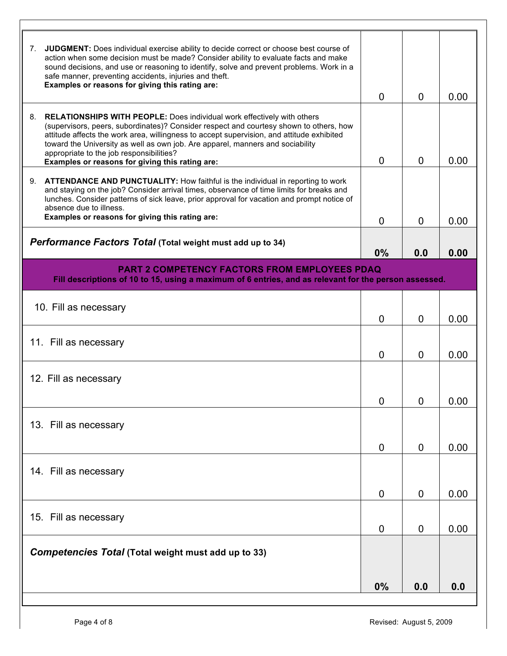| JUDGMENT: Does individual exercise ability to decide correct or choose best course of<br>7.<br>action when some decision must be made? Consider ability to evaluate facts and make<br>sound decisions, and use or reasoning to identify, solve and prevent problems. Work in a<br>safe manner, preventing accidents, injuries and theft.<br>Examples or reasons for giving this rating are:                                                                  | $\Omega$       | $\Omega$       | 0.00 |
|--------------------------------------------------------------------------------------------------------------------------------------------------------------------------------------------------------------------------------------------------------------------------------------------------------------------------------------------------------------------------------------------------------------------------------------------------------------|----------------|----------------|------|
| <b>RELATIONSHIPS WITH PEOPLE:</b> Does individual work effectively with others<br>8.<br>(supervisors, peers, subordinates)? Consider respect and courtesy shown to others, how<br>attitude affects the work area, willingness to accept supervision, and attitude exhibited<br>toward the University as well as own job. Are apparel, manners and sociability<br>appropriate to the job responsibilities?<br>Examples or reasons for giving this rating are: | $\mathbf{0}$   | $\mathbf{0}$   | 0.00 |
| <b>ATTENDANCE AND PUNCTUALITY:</b> How faithful is the individual in reporting to work<br>9.<br>and staying on the job? Consider arrival times, observance of time limits for breaks and<br>lunches. Consider patterns of sick leave, prior approval for vacation and prompt notice of<br>absence due to illness.                                                                                                                                            |                |                |      |
| Examples or reasons for giving this rating are:                                                                                                                                                                                                                                                                                                                                                                                                              | $\Omega$       | $\Omega$       | 0.00 |
| <b>Performance Factors Total (Total weight must add up to 34)</b>                                                                                                                                                                                                                                                                                                                                                                                            | 0%             | 0.0            | 0.00 |
| <b>PART 2 COMPETENCY FACTORS FROM EMPLOYEES PDAQ</b>                                                                                                                                                                                                                                                                                                                                                                                                         |                |                |      |
| Fill descriptions of 10 to 15, using a maximum of 6 entries, and as relevant for the person assessed.                                                                                                                                                                                                                                                                                                                                                        |                |                |      |
| 10. Fill as necessary                                                                                                                                                                                                                                                                                                                                                                                                                                        | $\Omega$       | $\mathbf{0}$   | 0.00 |
| 11. Fill as necessary                                                                                                                                                                                                                                                                                                                                                                                                                                        | 0              | $\overline{0}$ | 0.00 |
| 12. Fill as necessary                                                                                                                                                                                                                                                                                                                                                                                                                                        |                |                |      |
|                                                                                                                                                                                                                                                                                                                                                                                                                                                              | 0              | U              | 0.00 |
| 13. Fill as necessary                                                                                                                                                                                                                                                                                                                                                                                                                                        |                |                |      |
|                                                                                                                                                                                                                                                                                                                                                                                                                                                              | $\overline{0}$ | $\mathbf 0$    | 0.00 |
| 14. Fill as necessary                                                                                                                                                                                                                                                                                                                                                                                                                                        |                |                |      |
|                                                                                                                                                                                                                                                                                                                                                                                                                                                              | $\overline{0}$ | $\mathbf 0$    | 0.00 |
| 15. Fill as necessary                                                                                                                                                                                                                                                                                                                                                                                                                                        | 0              | $\mathbf 0$    | 0.00 |
| Competencies Total (Total weight must add up to 33)                                                                                                                                                                                                                                                                                                                                                                                                          |                |                |      |
|                                                                                                                                                                                                                                                                                                                                                                                                                                                              | 0%             | 0.0            | 0.0  |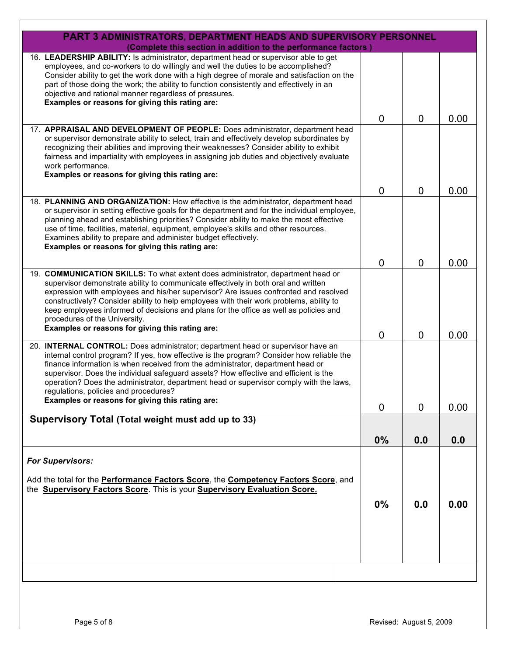| <b>PART 3 ADMINISTRATORS, DEPARTMENT HEADS AND SUPERVISORY PERSONNEL</b><br>(Complete this section in addition to the performance factors)                                                                                                                                                                                                                                                                                                                                                                                                    |                |                |      |
|-----------------------------------------------------------------------------------------------------------------------------------------------------------------------------------------------------------------------------------------------------------------------------------------------------------------------------------------------------------------------------------------------------------------------------------------------------------------------------------------------------------------------------------------------|----------------|----------------|------|
| 16. LEADERSHIP ABILITY: Is administrator, department head or supervisor able to get<br>employees, and co-workers to do willingly and well the duties to be accomplished?<br>Consider ability to get the work done with a high degree of morale and satisfaction on the<br>part of those doing the work; the ability to function consistently and effectively in an<br>objective and rational manner regardless of pressures.<br>Examples or reasons for giving this rating are:                                                               |                |                |      |
|                                                                                                                                                                                                                                                                                                                                                                                                                                                                                                                                               | $\mathbf 0$    | $\overline{0}$ | 0.00 |
| 17. APPRAISAL AND DEVELOPMENT OF PEOPLE: Does administrator, department head<br>or supervisor demonstrate ability to select, train and effectively develop subordinates by<br>recognizing their abilities and improving their weaknesses? Consider ability to exhibit<br>fairness and impartiality with employees in assigning job duties and objectively evaluate<br>work performance.<br>Examples or reasons for giving this rating are:                                                                                                    | $\overline{0}$ | $\overline{0}$ | 0.00 |
| 18. PLANNING AND ORGANIZATION: How effective is the administrator, department head<br>or supervisor in setting effective goals for the department and for the individual employee,<br>planning ahead and establishing priorities? Consider ability to make the most effective<br>use of time, facilities, material, equipment, employee's skills and other resources.<br>Examines ability to prepare and administer budget effectively.<br>Examples or reasons for giving this rating are:                                                    |                |                |      |
|                                                                                                                                                                                                                                                                                                                                                                                                                                                                                                                                               | $\mathbf 0$    | $\overline{0}$ | 0.00 |
| 19. COMMUNICATION SKILLS: To what extent does administrator, department head or<br>supervisor demonstrate ability to communicate effectively in both oral and written<br>expression with employees and his/her supervisor? Are issues confronted and resolved<br>constructively? Consider ability to help employees with their work problems, ability to<br>keep employees informed of decisions and plans for the office as well as policies and<br>procedures of the University.                                                            |                |                |      |
| Examples or reasons for giving this rating are:                                                                                                                                                                                                                                                                                                                                                                                                                                                                                               | $\overline{0}$ | $\overline{0}$ | 0.00 |
| 20. INTERNAL CONTROL: Does administrator; department head or supervisor have an<br>internal control program? If yes, how effective is the program? Consider how reliable the<br>finance information is when received from the administrator, department head or<br>supervisor. Does the individual safeguard assets? How effective and efficient is the<br>operation? Does the administrator, department head or supervisor comply with the laws,<br>regulations, policies and procedures?<br>Examples or reasons for giving this rating are: |                |                |      |
|                                                                                                                                                                                                                                                                                                                                                                                                                                                                                                                                               | $\mathbf 0$    | 0              | 0.00 |
| Supervisory Total (Total weight must add up to 33)                                                                                                                                                                                                                                                                                                                                                                                                                                                                                            |                |                |      |
|                                                                                                                                                                                                                                                                                                                                                                                                                                                                                                                                               | 0%             | 0.0            | 0.0  |
| <b>For Supervisors:</b>                                                                                                                                                                                                                                                                                                                                                                                                                                                                                                                       |                |                |      |
| Add the total for the <b>Performance Factors Score</b> , the <b>Competency Factors Score</b> , and<br>the <b>Supervisory Factors Score</b> . This is your <b>Supervisory Evaluation Score.</b>                                                                                                                                                                                                                                                                                                                                                | 0%             | 0.0            | 0.00 |
|                                                                                                                                                                                                                                                                                                                                                                                                                                                                                                                                               |                |                |      |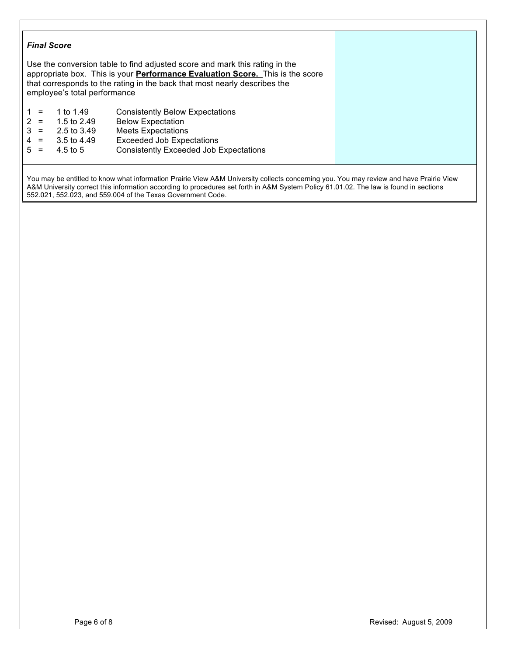|     | employee's total performance | Use the conversion table to find adjusted score and mark this rating in the<br>appropriate box. This is your <b>Performance Evaluation Score.</b> This is the score<br>that corresponds to the rating in the back that most nearly describes the |  |
|-----|------------------------------|--------------------------------------------------------------------------------------------------------------------------------------------------------------------------------------------------------------------------------------------------|--|
| $=$ | 1 to 1.49                    | <b>Consistently Below Expectations</b>                                                                                                                                                                                                           |  |
| $=$ | 1.5 to 2.49                  | <b>Below Expectation</b>                                                                                                                                                                                                                         |  |
| $=$ | 2.5 to 3.49                  | <b>Meets Expectations</b>                                                                                                                                                                                                                        |  |
| $=$ | 3.5 to 4.49                  | <b>Exceeded Job Expectations</b>                                                                                                                                                                                                                 |  |
|     | 4.5 to 5                     | <b>Consistently Exceeded Job Expectations</b>                                                                                                                                                                                                    |  |

You may be entitled to know what information Prairie View A&M University collects concerning you. You may review and have Prairie View A&M University correct this information according to procedures set forth in A&M System Policy 61.01.02. The law is found in sections 552.021, 552.023, and 559.004 of the Texas Government Code.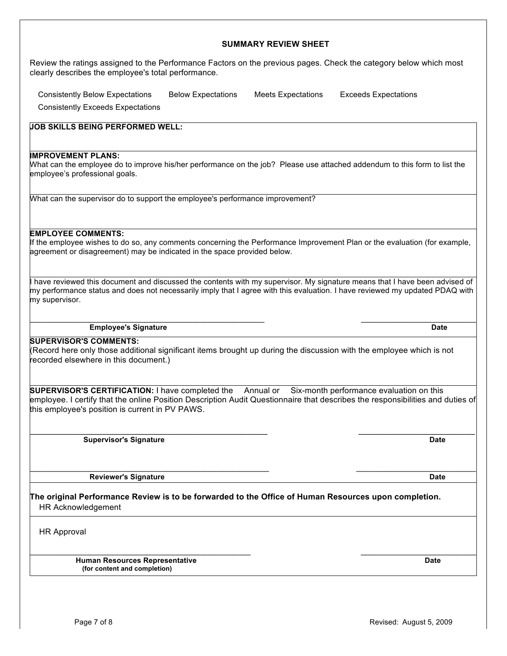# Page 7 of 8 Revised: August 5, 2009

## **SUMMARY REVIEW SHEET** Review the ratings assigned to the Performance Factors on the previous pages. Check the category below which most clearly describes the employee's total performance. Consistently Below Expectations Below Expectations Meets Expectations Exceeds Expectations Consistently Exceeds Expectations **JOB SKILLS BEING PERFORMED WELL: IMPROVEMENT PLANS:** What can the employee do to improve his/her performance on the job? Please use attached addendum to this form to list the employee's professional goals. What can the supervisor do to support the employee's performance improvement? **EMPLOYEE COMMENTS:** If the employee wishes to do so, any comments concerning the Performance Improvement Plan or the evaluation (for example, agreement or disagreement) may be indicated in the space provided below. I have reviewed this document and discussed the contents with my supervisor. My signature means that I have been advised of my performance status and does not necessarily imply that I agree with this evaluation. I have reviewed my updated PDAQ with my supervisor.  $\mathcal{L}_\text{max}$  , and the contribution of the contribution of the contribution of the contribution of the contribution of the contribution of the contribution of the contribution of the contribution of the contribution of t **Employee's Signature Date SUPERVISOR'S COMMENTS:** (Record here only those additional significant items brought up during the discussion with the employee which is not recorded elsewhere in this document.) **SUPERVISOR'S CERTIFICATION:** I have completed the Annual or Six-month performance evaluation on this employee. I certify that the online Position Description Audit Questionnaire that describes the responsibilities and duties of this employee's position is current in PV PAWS.  $\_$  ,  $\_$  ,  $\_$  ,  $\_$  ,  $\_$  ,  $\_$  ,  $\_$  ,  $\_$  ,  $\_$  ,  $\_$  ,  $\_$  ,  $\_$  ,  $\_$  ,  $\_$  ,  $\_$  ,  $\_$  ,  $\_$  ,  $\_$  ,  $\_$  ,  $\_$  ,  $\_$  ,  $\_$  ,  $\_$  ,  $\_$  ,  $\_$  ,  $\_$  ,  $\_$  ,  $\_$  ,  $\_$  ,  $\_$  ,  $\_$  ,  $\_$  ,  $\_$  ,  $\_$  ,  $\_$  ,  $\_$  ,  $\_$  , **Supervisor's Signature Date**

\_\_\_\_\_\_\_\_\_\_\_\_\_\_\_\_\_\_\_\_\_\_\_\_\_\_\_\_\_\_\_\_\_\_\_\_\_\_\_\_\_\_\_\_\_\_\_\_\_\_\_\_ \_\_\_\_\_\_\_\_\_\_\_\_\_\_\_\_\_\_\_\_\_\_\_\_\_\_ **Reviewer's Signature Date**

**The original Performance Review is to be forwarded to the Office of Human Resources upon completion.** HR Acknowledgement

HR Approval

 **Human Resources Representative Date (for content and completion)**

 $\overline{\phantom{a}}$  , and the contribution of the contribution of the contribution of the contribution of the contribution of the contribution of the contribution of the contribution of the contribution of the contribution of the